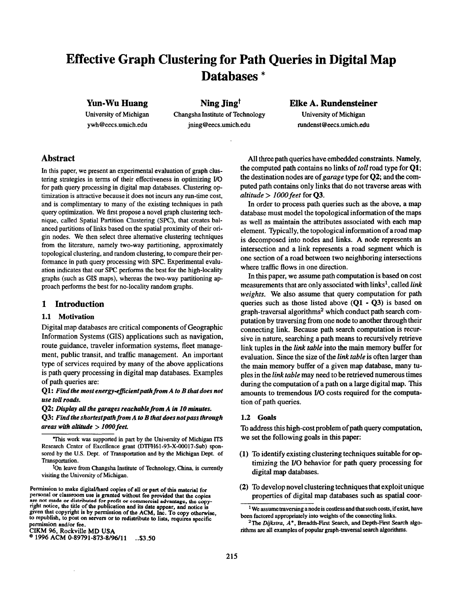# Effective Graph Clustering for Path Queries in Digital Map Databases \*

# Yun-Wu Huang

University of Michigan ywh@?eecs.trmich.edu

Changsha Institute of Technology University of Michigan jning@eecs.umich.edu rundenst@eecs.umich.edu

Ning Jing<sup>t</sup> Elke A. Rundensteiner

# Abstract

In this paper, we present an experimental evaluation of graph clustering strategies in terms of their effectiveness in optimizing I/O for path query processing in digital map databases. Clustering optimization is attractive because it does not incurs any run-time cost, and is complimentary to many of the existing techniques in path query optimization. We first propose a novel graph clustering technique, called Spatial Partition Clustering (SPC), that creates balanced partitions of links based on the spatial proximity of their origin nodes. We then select three alternative clustering techniques from the literature, namely two-way partitioning, approximately topological clustering, and random clustering, to compare their performance in path query processing with SPC. Experimental evaluation indicates that our SPC performs the best for the high-locality graphs (such as GIS maps), whereas the two-way partitioning approach performs the best for no-locality random graphs.

# 1 Introduction

## 1.1 Motivation

Digital map databases are critical components of Geographic Information Systems (GIS) applications such as navigation, route guidance, traveler information systems, fleet management, public transit, and traffic management. An important type of services required by many of the above applications is path query processing in digital map databases. Examples of path queries are:

### $Q1:$  Find the most energy-efficient path from A to B that does not use toll roads.

 $Q2$ : Display all the garages reachable from  $A$  in  $10$  minutes.  $Q3$ : Find the shortest path from A to B that does not pass through areas with altitude  $>1000$  feet.

CIKM 96, Rockville MD USA

 $^{\circ}$  1996 ACM 0-89791-873-8/96/11 ..\$3.50

All three path queries have embedded constraints. Namely, the computed path contains no links of toll road type for Ql; the destination nodes are of garage type for  $Q2$ ; and the computed path contains only links that do not traverse areas with altitude  $> 1000$  feet for Q3.

In order to process path queries such as the above, a map database must model the topological information of the maps as well as maintain the attributes associated with each map element. Typically, the topological information of a road map is decomposed into nodes and links. A node represents an intersection and a link represents a road segment which is one section of a road between two neighboring intersections where traffic flows in one direction.

In this paper, we assume path computation is based on cost measurements that are only associated with  $links<sup>1</sup>$ , called link weights. We also assume that query computation for path queries such as those listed above  $(O1 - O3)$  is based on graph-traversal algorithms<sup>2</sup> which conduct path search computation by traversing from one node to another through their connecting link. Because path search computation is recursive in nature, searching a path means to recursively retrieve link tuples in the *link table* into the main memory buffer for evaluation. Since the size of the link table is often larger than the main memory buffer of a given map database, many tuples in the link table may need to be retrieved numerous times during the computation of a path on a large digital map. This amounts to tremendous HO costs required for the computation of path queries.

### 1.2 Goals

To address this high-cost problem of path query computation, we set the following goals in this paper

- (1) To identify existing clustering techniques suitable for optimizing the I/O behavior for path query processing for digital map databases.
- (2) To develop novel clustering techniques that exploit unique properties of digital map databases such as spatial coor-

This work was supported in part by the University of Michigan ITS Research Center of Excellence grant (DTFH61-93-X-00017-Sub) sponsored by the U.S. Dept. of Transportation and by the Michigan Dept. of Transportation.

<sup>&</sup>lt;sup>t</sup>On leave from Changsha Institute of Technology, China, is currently visiting the University of Michigan.

Permission to make digital/hard copies of all or part of this material for personal or classroom use is granted without fee provided that the copies are not made or distributed for profit or commercial advantage, the copy<br>right notice, the title of the publication and its date appear, and notice is given that copyright is by permission of the ACM, Inc. To copy otherwise, to republish, to post on servers or to redistribute to lists, requires specific permission and/or fee.

 $1$  We assume traversing a node is costless and that such costs, if exist, have been factored appropriately into weights of the connecting links.

<sup>&</sup>lt;sup>2</sup>The Dijkstra,  $A^*$ , Breadth-First Search, and Depth-First Search algorithms are all examples of popular graph-traversal search algorithms.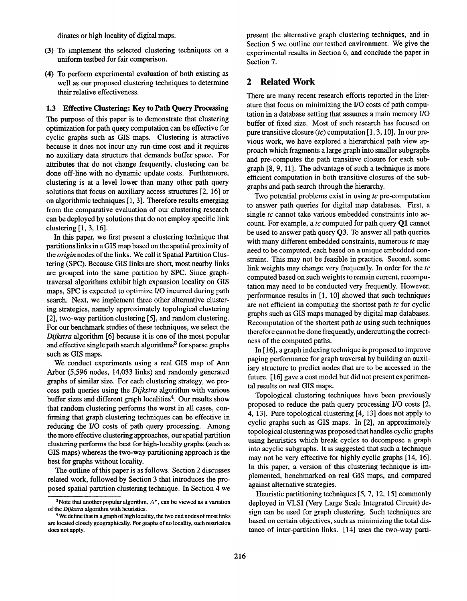dinates or high locality of digital maps.

- (3) To implement the selected clustering techniques on a uniform testbed for fair comparison.
- (4) To perform experimental evaluation of both existing as well as our proposed clustering techniques to determine their relative effectiveness.

### 1.3 Effective Clustering: Key to Path Query Processing

The purpose of this paper is to demonstrate that clustering optimization for path query computation can be effective for cyclic graphs such as GIS maps. Clustering is attractive because it does not incur any run-time cost and it requires no auxiliary data structure that demands buffer space. For attributes that do not change frequently, clustering can be done off-line with no dynamic update costs. Furthermore, clustering is at a level lower than many other path query solutions that focus on auxiliary access structures [2, 16] or on algorithmic techniques [1, 3]. Therefore results emerging from the comparative evaluation of our clustering research can be deployed by solutions that do not employ specific link clustering [1, 3, 16].

In this paper, we first present a clustering technique that partitions links in a GIS map based on the spatial proximity of the *origin* nodes of the links. We call it Spatial Partition Clustering (SPC). Because GIS links are short, most nearby links are grouped into the same partition by SPC. Since graphtraversal algorithms exhibit high expansion locality on GIS maps, SPC is expected to optimize I/O incurred during path search. Next, we implement three other alternative clustering strategies, namely approximately topological clustering [2], two-way partition clustering [5], and random clustering. For our benchmark studies of these techniques, we select the Dijkstra algorithm [6] because it is one of the most popular and effective single path search algorithms<sup>3</sup> for sparse graphs such as GIS maps.

We conduct experiments using a real GIS map of Ann Arbor (5,596 nodes, 14,033 links) and randomly generated graphs of similar size. For each clustering strategy, we process path queries using the Dijkstra algorithm with various buffer sizes and different graph localities<sup>4</sup>. Our results show that random clustering performs the worst in all cases, confirming that graph clustering techniques can be effective in reducing the I/O costs of path query processing. Among the more effective clustering approaches, our spatial partition clustering performs the best for high-locality graphs (such as GIS maps) whereas the two-way partitioning approach is the best for graphs without locality.

The outline of this paper is as follows. Section 2 discusses related work, followed by Section 3 that introduces the proposed spatial partition clustering technique. In Section 4 we present the alternative graph clustering techniques, and in Section 5 we outline our testbed environment. We give the experimental results in Section 6, and conclude the paper in Section 7.

# 2 Related Work

There are many recent research efforts reported in the literature that focus on minimizing the I/O costs of path computation in a database setting that assumes a main memory I/O buffer of fixed size. Most of such research has focused on pure transitive closure (tc) computation  $[1, 3, 10]$ . In our previous work, we have explored a hierarchical path view approach which fragments a large graph into smaller subgraphs and pre-computes the path transitive closure for each subgraph [8, 9, 11]. The advantage of such a technique is more efficient computation in both transitive closures of the subgraphs and path search through the hierarchy.

Two potential problems exist in using tc pre-computation to answer path queries for digital map databases. First, a single tc cannot take various embedded constraints into account. For example, a tc computed for path query Q1 cannot be used to answer path query Q3. To answer all path queries with many different embedded constraints, numerous  $tc$  may need to be computed, each based on a unique embedded constraint. This may not be feasible in practice. Second, some link weights may change very frequently. In order for the tc computed based on such weights to remain current, recomputation may need to be conducted very frequently. However, performance results in [1, 10] showed that such techniques are not efficient in computing the shortest path  $tc$  for cyclic graphs such as GIS maps managed by digital map databases. Recomputation of the shortest path  $tc$  using such techniques therefore cannot be done frequently, undercutting the correctness of the computed paths.

In [16], a graph indexing technique is proposed to improve paging performance for graph traversal by building an auxiliary structure to predict nodes that are to be accessed in the future. [16] gave a cost model but did not present experimental results on real GIS maps.

Topological clustering techniques have been previously proposed to reduce the path query processing I/O costs [2, 4, 13]. Pure topological clustering [4, 13] does not apply to cyclic graphs such as GIS maps. In [2], an approximately topological clustering was proposed that handles cyclic graphs using heuristics which break cycles to decompose a graph into acyclic subgraphs. It is suggested that such a technique may not be very effective for highly cyclic graphs [14, 16]. In this paper, a version of this clustering technique is implemented, benchmarked on real GIS maps, and compared against alternative strategies.

Heuristic partitioning techniques [5, 7, 12, 15] commonly deployed in VLSI (Very Large Scale Integrated Circuit) design can be used for graph clustering. Such techniques are based on certain objectives, such as minimizing the total distance of inter-partition links. [14] uses the two-way parti-

<sup>&</sup>lt;sup>3</sup>Note that another popular algorithm,  $A^*$ , can be viewed as a variation of the Dijkstra algorithm with heuristics.

<sup>&</sup>lt;sup>4</sup>We define that in a graph of high locality, the two end nodes of most links are located closely geographically. For graphs of no locatity, such restriction does not apply.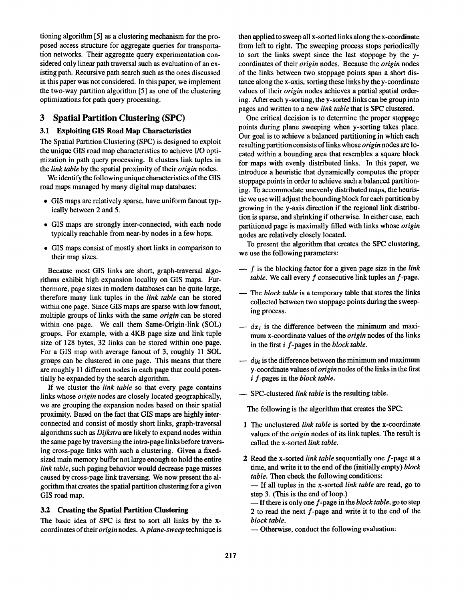tioning algorithm [5] as a clustering mechanism for the proposed access structure for aggregate queries for transportation networks. Their aggregate query experimentation considered only linear path traversal such as evaluation of an existing path. Recursive path search such as the ones discussed in this paper was not considered. In this paper, we implement the two-way partition algorithm [5] as one of the clustering optimizations for path query processing.

# 3 Spatial Partition Clustering (SPC)

# 3.1 Exploiting GIS Road Map Characteristics

The Spatial Partition Clustering (SPC) is designed to exploit the unique GIS road map characteristics to achieve I/O optimization in path query processing. It clusters link tuples in the *link table* by the spatial proximity of their *origin* nodes.

We identify the following unique characteristics of the GIS road maps managed by many digital map databases:

- GIS maps are relatively sparse, have uniform fanout typically between 2 and 5.
- GIS maps are strongly inter-connected, with each node typically reachable from near-by nodes in a few hops.
- GIS maps consist of mostly short links in comparison to their map sizes.

Because most GIS links are short, graph-traversal algorithms exhibit high expansion locality on GIS maps. Furthermore, page sizes in modern databases can be quite large, therefore many link tuples in the link table can be stored within one page. Since GIS maps are sparse with low fanout, multiple groups of links with the same *origin* can be stored within one page. We call them Same-Origin-link (SOL) groups. For example, with a 4KB page size and link tuple size of 128 bytes, 32 links can be stored within one page. For a GIS map with average fanout of 3, roughly 11 SOL groups can be clustered in one page. This means that there are roughly 11 different nodes in each page that could potentially be expanded by the search algorithm.

If we cluster the *link table* so that every page contains links whose origin nodes are closely located geographically, we are grouping the expansion nodes based on their spatial proximity. Based on the fact that GIS maps are highly interconnected and consist of mostly short links, graph-traversal algorithms such as *Dijkstra* are likely to expand nodes within the same page by traversing the intra-page links before traversing cross-page links with such a clustering. Given a fixedsized main memory buffer not large enough to hold the entire link table, such paging behavior would decrease page misses caused by cross-page link traversing. We now present the algorithm that creates the spatial partition clustering for a given GIS road map.

### 3.2 Creating the Spatial Partition Clustering

The basic idea of SPC is first to sort all links by the xcoordinates of their origin nodes. A plane-sweep technique is then applied to sweep all x-sorted links along the x-coordinate from left to right. The sweeping process stops periodically to sort the links swept since the last stoppage by the ycoordinates of their *origin* nodes. Because the *origin* nodes of the links between two stoppage points span a short distance along the x-axis, sorting these links by they-coordinate values of their origin nodes achieves a partial spatial ordering. After each y-sorting, the y-sorted links can be group into pages and written to a new link table that is SPC clustered.

One critical decision is to determine the proper stoppage points during plane sweeping when y-sorting takes place. Our goal is to achieve a balanced partitioning in which each resulting partition consists of links whose *origin* nodes are located within a bounding area that resembles a square block for maps with evenly distributed links. In this paper, we introduce a heuristic that dynamically computes the proper stoppage points in order to achieve such a balanced partitioning. To accommodate unevenly distributed maps, the heuristic we use will adjust the bounding block for each partition by growing in the y-axis direction if the regional link distribution is sparse, and shrinking if otherwise. In either case, each partitioned page is maximally filled with links whose origin nodes are relatively closely located.

To present the algorithm that creates the SPC clustering, we use the following parameters:

- $f$  is the blocking factor for a given page size in the *lini* table. We call every  $f$  consecutive link tuples an  $f$ -page.
- The block table is a temporary table that stores the link collected between two stoppage points during the sweeping process.
- $-dx_i$  is the difference between the minimum and maximum x-coordinate values of the *origin* nodes of the links in the first i f-pages in the block table.
- $-$  dy<sub>i</sub> is the difference between the minimum and maximum y-coordinate values of origin nodes of the links in the first i f-pages in the block table.
- SPC-clustered link table is the resulting table

The following is the algorithm that creates the SPC:

- 1 The unclustered *link table* is sorted by the x-coordina values of the *origin* nodes of its link tuples. The result is called the x-sorted link table.
- 2 Read the x-sorted *link table* sequentially one f-page at a time, and write it to the end of the (initially empty) block table. Then check the following conditions:

— If all tuples in the x-sorted *link table* are read, go to step 3. (This is the end of loop.)

 $\overline{\phantom{a}}$  If there is only one f-page in the block table, go to step 2 to read the next  $f$ -page and write it to the end of the block table.

— Otherwise, conduct the following evaluation: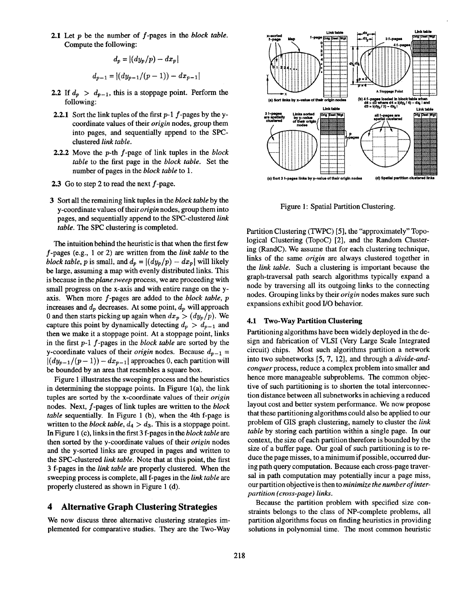2.1 Let  $p$  be the number of  $f$ -pages in the block table. Compute the following:

$$
d_p = |(dy_p/p) - dx_p|
$$
  

$$
d_{p-1} = |(dy_{p-1}/(p-1)) - dx_{p-1}|
$$

- 2.2 If  $d_p > d_{p-1}$ , this is a stoppage point. Perform the following:
- **2.2.1** Sort the link tuples of the first  $p-1$  f-pages by the ycoordinate values of their origin nodes, group them into pages, and sequentially append to the SPCclustered link table.
- **2.2.2** Move the  $p$ -th  $f$ -page of link tuples in the block table to the first page in the block table. Set the number of pages in the *block table* to 1.
- 2.3 Go to step 2 to read the next  $f$ -page.
- 3 Sort all the remaining link tuples in the block table by the y-coordinate values of their origin nodes, group them into pages, and sequentially append to the SPC-clustered link table. The SPC clustering is completed.

The intuition behind the heuristic is that when the first few f-Pages (e.g., 1 or 2) are written from the link table to the block table, p is small, and  $d_p = |(dy_p/p) - dx_p|$  will likely be large, assuming a map with evenly distributed links. This is because in the plane sweep process, we are proceeding with small progress on the x-axis and with entire range on the yaxis. When more f-pages are added to the block table, p increases and  $d_p$  decreases. At some point,  $d_p$  will approach 0 and then starts picking up again when  $dx_p > (dy_p/p)$ . We capture this point by dynamically detecting  $d_p > d_{p-1}$  and then we make it a stoppage point. At a stoppage point, links in the first  $p-1$  f-pages in the block table are sorted by the y-coordinate values of their *origin* nodes. Because  $d_{p-1} =$  $|(dy_{p-1}/(p-1)) - dx_{p-1}|$  approaches 0, each partition will be bounded by an area that resembles a square box.

Figure 1 illustrates the sweeping process and the heuristics in determining the stoppage points. In Figure  $1(a)$ , the link tuples are sorted by the x-coordinate values of their origin nodes. Next, f-pages of link tuples are written to the block table sequentially. In Figure 1 (b), when the 4th f-page is written to the *block table*,  $d_4 > d_3$ . This is a stoppage point. In Figure 1 (c), links in the first 3 f-pages in the block table are then sorted by the y-coordinate values of their *origin* nodes and the y-sorted links are grouped in pages and written to the SPC-clustered link table. Note that at this point, the first 3 f-pages in the link table are properly clustered. When the sweeping process is complete, all f-pages in the link table are properly clustered as shown in Figure 1 (d).

# 4 Alternative Graph Clustering Strategies

We now discuss three alternative clustering strategies implemented for comparative studies. They are the Two-Way



Figure 1: Spatial Partition Clustering,

Partition Clustering (TWPC) [5], the "approximately" Topological Clustering (TopoC) [2], and the Random Clustering (RandC). We assume that for each clustering technique, links of the same origin are always clustered together in the link table. Such a clustering is important because the graph-traversal path search algorithms typically expand a node by traversing all its outgoing links to the connecting nodes. Grouping links by their origin nodes makes sure such expansions exhibit good I/O behavior.

# 4.1 Two-Way Partition Clustering

Partitioning algorithms have been widely deployed in the design and fabrication of VLSI (Very Large Scale Integrated circuit) chips. Most such algorithms partition a network into two subnetworks [5, 7, 12], and through a divide-andconguer process, reduce a complex problem into smaller and hence more manageable subproblems. The common objective of such partitioning is to shorten the total interconnection distance between all subnetworks in achieving a reduced layout cost and better system performance. We now propose that these partitioning algorithms could also be applied to our problem of GIS graph clustering, namely to cluster the link table by storing each partition within a single page. In our context, the size of each partition therefore is bounded by the size of a buffer page. Our goal of such partitioning is to reduce the page misses, to a minimum if possible, occurred during path query computation. Because each cross-page traversal in path computation may potentially incur a page miss, our partition objective is then to minimize the number of interpartition (cross-page) links.

Because the partition problem with specified size constraints belongs to the class of NP-complete problems, all partition algorithms focus on finding heuristics in providing solutions in polynomial time. The most common heuristic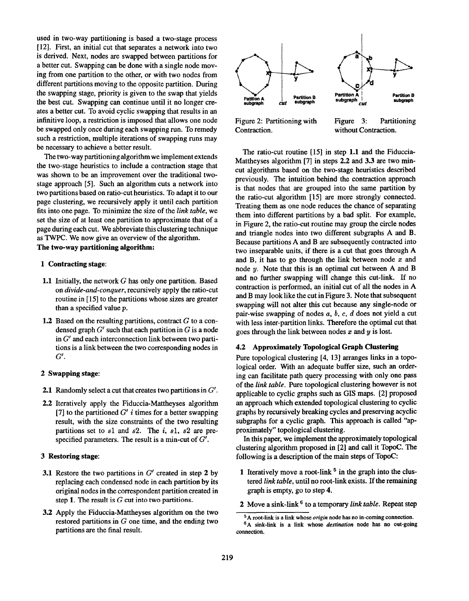used in two-way partitioning is based a two-stage process [12]. First, an initial cut that separates a network into two is derived. Next, nodes are swapped between partitions for a better cut. Swapping can be done with a single node moving from one partition to the other, or with two nodes from different partitions moving to the opposite partition. During the swapping stage, priority is given to the swap that yields the best cut. Swapping can continue until it no longer creates a better cut. To avoid cyclic swapping that results in an infinitive loop, a restriction is imposed that allows one node be swapped only once during each swapping run. To remedy such a restriction, multiple iterations of swapping runs may be necessary to achieve a better result.

The two-way partitioning algorithm we implement extends the two-stage heuristics to include a contraction stage that was shown to be an improvement over the traditional twostage approach [5]. Such an algorithm cuts a network into two partitions based on ratio-cut heuristics. To adapt it to our page clustering, we recursively apply it until each partition fits into one page. To minimize the size of the link table, we set the size of at least one partition to approximate that of a page during each cut. We abbreviate this clustering technique as TWPC. We now give an overview of the algorithm. The two-way partitioning algorithm:

- 1 Contracting stage:
- 1.1 Initially, the network G has only one partition. Based on *divide-and-conquer*, recursively apply the ratio-cut routine in [15] to the partitions whose sizes are greater than a specified value p.
- 1.2 Based on the resulting partitions, contract G to a condensed graph  $G'$  such that each partition in G is a node in  $G'$  and each interconnection link between two partitions is a link between the two corresponding nodes in  $G'.$

# 2 Swapping stage:

- **2.1** Randomly select a cut that creates two partitions in  $G'$ .
- 2.2 Iteratively apply the Fiduccia-Mattheyses algorithm [7] to the partitioned  $G'$  i times for a better swapping result, with the size constraints of the two resulting partitions set to  $s1$  and  $s2$ . The i,  $s1$ ,  $s2$  are prespecified parameters. The result is a min-cut of  $G'$ .

### 3 Restoring stage

- 3.1 Restore the two partitions in G' created in step 2 by replacing each condensed node in each partition by its original nodes in the correspondent partition created in step 1. The result is  $G$  cut into two partitions.
- 3.2 Apply the Fiduccia-Mattheyses algorithm on the two restored partitions in  $G$  one time, and the ending two partitions are the final result.



Contraction. without Contraction.

Figure 2: Partitioning with Figure 3: Partitioning

The ratio-cut routine [15] in step 1.1 and the Fiduccia-Mattheyses algorithm [7] in steps 2.2 and 3.3 are two mincut algorithms based on the two-stage heuristics described previously. The intuition behind the contraction approach is that nodes that are grouped into the same partition by the ratio-cut algorithm [15] are more strongly connected. Treating them as one node reduces the chance of separating them into different partitions by a bad split. For example, in Figure 2, the ratio-cut routine may group the circle nodes and triangle nodes into two different subgraphs A and B. Because partitions A and B are subsequently contracted into two inseparable units, if there is a cut that goes through A and B, it has to go through the link between node  $x$  and node y. Note that this is an optimal cut between A and B and no further swapping will change this cut-link. If no contraction is performed, an initial cut of all the nodes in A and B may look like the cut in Figure 3, Note that subsequent swapping will not alter this cut because any single-node or pair-wise swapping of nodes  $a, b, c, d$  does not yield a cut with less inter-partition links. Therefore the optimal cut that goes through the link between nodes  $x$  and  $y$  is lost.

## 4.2 Approximately Topological Graph Clustering

Pure topological clustering [4, 13] arranges links in a topological order. With an adequate buffer size, such an ordering can facilitate path query processing with only one pass of the link table. Pure topological clustering however is not applicable to cyclic graphs such as GIS maps. [2] proposed an approach which extended topological clustering to cyclic graphs by recursively breaking cycles and preserving acyclic subgraphs for a cyclic graph. This approach is called "approximately" topological clustering.

In this paper, we implement the approximately topological clustering algorithm proposed in [2] and call it TopoC. The following is a description of the main steps of TopoC:

- 1 Iteratively move a root-link  $5$  in the graph into the clustered link table, until no root-link exists. If the remaining graph is empty, go to step 4.
- 2 Move a sink-link  $6$  to a temporary link table. Repeat step

 $5A$  root-link is a link whose *origin* node has no in-coming connection. <sup>6</sup>A sink-link is a link whose *destination* node has no out-going

connection.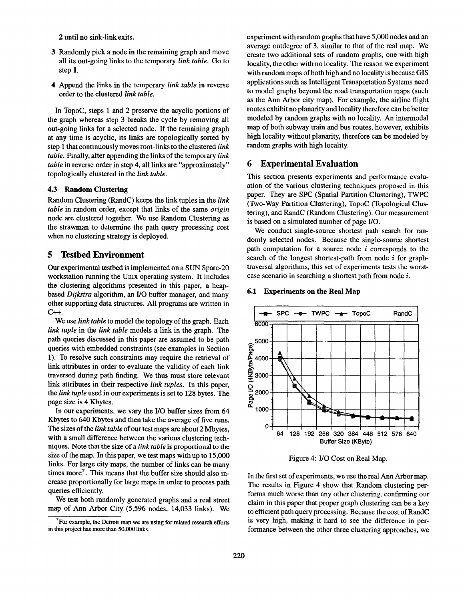2 until no sink-link exits.

- 3 Randomly pick a node in the remaining graph and move all its out-going links to the temporary link table. Go to step 1.
- **4** Append the links in the temporary link table in reverse order to the clustered link table.

In TopoC, steps 1 and 2 preserve the acyclic portions of the graph whereas step 3 breaks the cycle by removing all out-going links for a selected node. If the remaining graph at any time is acyclic, its links are topologically sorted by step 1 that continuously moves root-links to the clustered link table. Finally, after appending the links of the temporary link table in reverse order in step 4, all links are "approximately" topologically clustered in the link table.

### 4.3 Random Clustering

Random Clustering (RandC) keeps the link tuples in the link table in random order, except that links of the same origin node are clustered together. We use Random Clustering as the strawman to determine the path query processing cost when no clustering strategy is deployed.

# 5 Testbed Environment

Our experimental testbed is implemented on a SUN Spare-20 workstation running the Unix operating system. It includes the clustering algorithms presented in this paper, a heapbased Dijkstra algorithm, an I/O buffer manager, and many other supporting data structures. All programs are written in  $C_{++.}$ 

We use *link table* to model the topology of the graph. Each link tuple in the link table models a link in the graph. The path queries discussed in this paper are assumed to be path queries with embedded constraints (see examples in Section 1). To resolve such constraints may require the retrieval of link attributes in order to evaluate the validity of each link traversed during path finding. We thus must store relevant link attributes in their respective *link tuples*. In this paper, the *link tuple* used in our experiments is set to 128 bytes. The page size is 4 Kbytes.

In our experiments, we vary the I/O buffer sizes from 64 Kbytes to 640 Kbytes and then take the average of five runs. The sizes of the *link table* of our test maps are about 2 Mbytes, with a small difference between the various clustering techniques. Note that the size of a link table is proportional to the size of the map. In this paper, we test maps with up to 15,000 links. For large city maps, the number of links can be many times more<sup> $7$ </sup>. This means that the buffer size should also increase proportionally for large maps in order to process path queries efficiently.

We test both randomly generated graphs and a real street map of Ann Arbor City (5,596 nodes, 14,033 links). We

experiment with random graphs that have 5,000 nodes and an average outdegree of 3, similar to that of the real map. We create two additional sets of random graphs, one with high locality, the other with no locality. The reason we experiment with random maps of both high and no locality is because GIS applications such as Intelligent Transportation Systems need to model graphs beyond the road transportation maps (such as the Ann Arbor city map). For example, the airline flight routes exhibit no planarity and locality therefore can be better modeled by random graphs with no locality. An intermodal map of both subway train and bus routes, however, exhibits high locality without planarity, therefore can be modeled by random graphs with high locality.

### 6 Experimental Evaluation

This section presents experiments and performance evaluation of the various clustering techniques proposed in this paper. They are SPC (Spatial Partition Clustering), TWPC (Two-Way Partition Clustering), TopoC (Topological Clustering), and RandC (Random Clustering). Our measurement is based on a simulated number of page I/O.

We conduct single-source shortest path search for randomly selected nodes. Because the single-source shortest path computation for a source node  $i$  corresponds to the search of the longest shortest-path from node *i* for graphtraversal algorithms, this set of experiments tests the worstcase scenario in searching a shortest path from node i.



# 6.1 Experiments on the Real Map

Figure 4: I/O Cost on Real Map.

In the first set of experiments, we use the real Ann Arbor map. The results in Figure 4 show that Random clustering performs much worse than any other clustering, confirming our claim in this paper that proper graph clustering can be a key to efficient path query processing. Because the cost of RandC is very high, making it hard to see the difference in performance between the other three clustering approaches, we

 $7$  For example, the Detroit map we are using for related research efforts in this project has more than 50,000 links.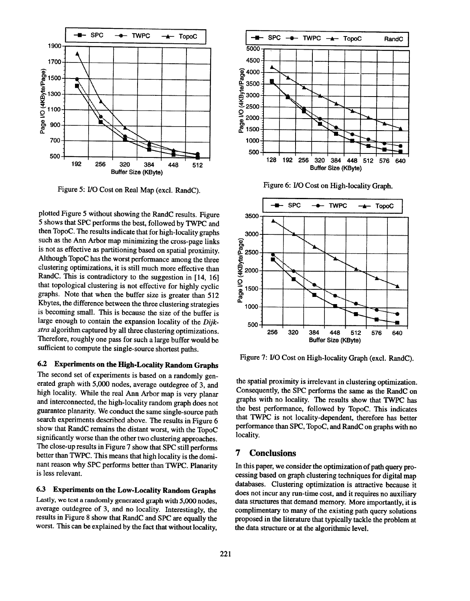

Figure 5: I/O Cost on Real Map (excl. RandC).

plotted Figure 5 without showing the RandC results. Figure 5 shows that SPC performs the best, followed by TWPC and then TopoC. The results indicate that for high-locality graphs then TopoC. The results indicate that for high-locality graphs such as the Ann Arbor map minimizing the cross-page links is not as effective as partitioning based on spatial proximity. clustering optimizations, it is still much more effective than clustering optimizations, it is still much more effective than  $R_{\text{max}} = 1 + 1 + 1 + \cdots$ that topological clustering is not effective for highly cyclic graphs. Note that when the buffer size is greater than 512 Kbytes, the difference between the three clustering strategies  $\mathbb{R}^n$  the difference between the three clustering strategies is becoming small. This is because the size of the buffer is large enough to contain the expansion locality of the Dijkstra algorithm captured by all three clustering optimizations. Therefore, roughly one pass for such a large buffer would be sufficient to compute the single-source shortest paths.

# 6.2 Experiments on the High-Locality Random Graphs

The second set of experiments is based on a randomly generated graph with 5,000 nodes, average outdegree of 3, and high locality. While the real Ann Arbor map is very planar<br>and interconnected, the high-locality random graph does not and interconnected, the high-locality random graph does not guarantee plantary. We conduct the same single-source path  $s_{\text{test}}$  experiments described above. The results in Figure 6  $s_{\text{max}}$   $\alpha$  and  $\alpha$  remains the distant worst, with the TopoC  $\sigma$ significantly worse than the other two clustering approaches. The close-up results in Figure 7 show that SPC still performs better than TWPC. This means that high locality is the dominant reason why SPC performs better than TWPC. Planarity is less relevant.

6.3 Experiments on the Low-Locality Random Graphs<br>Lastly, we test a randomly generated graph with 5,000 nodes,  $\frac{1}{2}$ average outdegree of 3, and no locality. Interestingly, the results in Figure 8 show that RandC and SPC are equally the worst. This can be explained by the fact that without locality,







Figure 7: I/O Cost on High-locality Graph (excl. RandC).

the spatial proximity is irrelevant in clustering optimization. Consequently, the SPC performs the same as the RandC on graphs with no locality. The results show that TWPC has the best performance, followed by TopoC. This indicates that TWPC is not locality-dependent, therefore has better performance than SPC, TopoC, and RandC on graphs with no locality.

# 7 Conclusions

In this paper, we consider the optimization of path query processing based on graph clustering techniques for digital map databases. Clustering optimization is attractive because it does not incur any run-time cost, and it requires no auxiliary data structures that demand memory. More importantly, it is complimentary to many of the existing path query solutions proposed in the literature that typically tackle the problem at the data structure or at the algorithmic level.